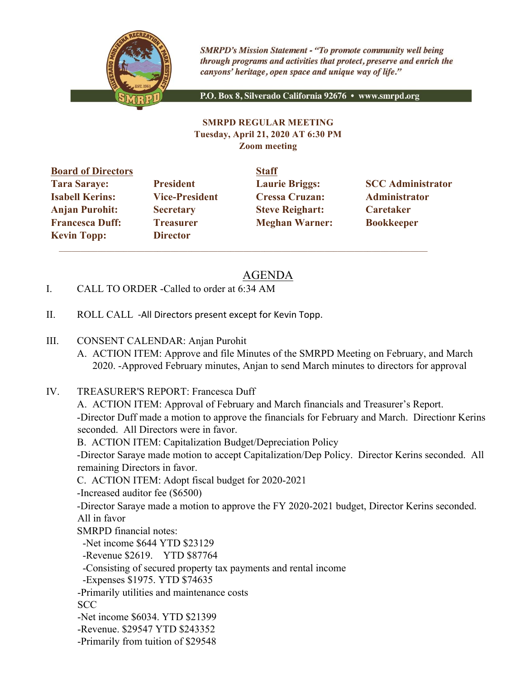

**SMRPD's Mission Statement - "To promote community well being** through programs and activities that protect, preserve and enrich the canyons' heritage, open space and unique way of life."

P.O. Box 8, Silverado California 92676 · www.smrpd.org

#### **SMRPD REGULAR MEETING Tuesday, April 21, 2020 AT 6:30 PM Zoom meeting**

**Board of Directors Staff Tara Saraye: President Laurie Briggs: SCC Administrator Isabell Kerins: Vice-President Cressa Cruzan: Administrator Anjan Purohit: Secretary Steve Reighart: Caretaker Francesca Duff: Treasurer Meghan Warner: Bookkeeper Kevin Topp: Director** 

 $\mathcal{L}_\text{max}$  , and the contribution of the contribution of the contribution of the contribution of the contribution of the contribution of the contribution of the contribution of the contribution of the contribution of t

# AGENDA

- I. CALL TO ORDER -Called to order at 6:34 AM
- II. ROLL CALL -All Directors present except for Kevin Topp.
- III. CONSENT CALENDAR: Anjan Purohit
	- A. ACTION ITEM: Approve and file Minutes of the SMRPD Meeting on February, and March 2020. -Approved February minutes, Anjan to send March minutes to directors for approval
- IV. TREASURER'S REPORT: Francesca Duff

A. ACTION ITEM: Approval of February and March financials and Treasurer's Report. -Director Duff made a motion to approve the financials for February and March. Directionr Kerins seconded. All Directors were in favor.

B. ACTION ITEM: Capitalization Budget/Depreciation Policy

-Director Saraye made motion to accept Capitalization/Dep Policy. Director Kerins seconded. All remaining Directors in favor.

C. ACTION ITEM: Adopt fiscal budget for 2020-2021

-Increased auditor fee (\$6500)

-Director Saraye made a motion to approve the FY 2020-2021 budget, Director Kerins seconded. All in favor

SMRPD financial notes:

-Net income \$644 YTD \$23129

-Revenue \$2619. YTD \$87764

-Consisting of secured property tax payments and rental income

-Expenses \$1975. YTD \$74635

-Primarily utilities and maintenance costs

SCC

-Net income \$6034. YTD \$21399

-Revenue. \$29547 YTD \$243352

-Primarily from tuition of \$29548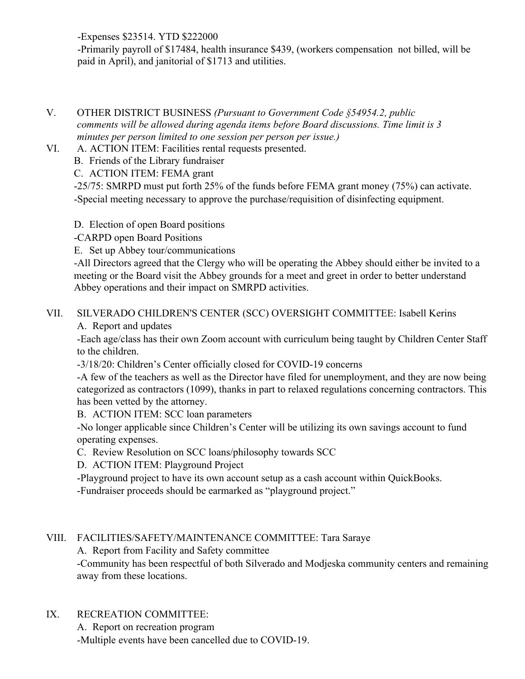-Expenses \$23514. YTD \$222000

-Primarily payroll of \$17484, health insurance \$439, (workers compensation not billed, will be paid in April), and janitorial of \$1713 and utilities.

- V. OTHER DISTRICT BUSINESS *(Pursuant to Government Code §54954.2, public comments will be allowed during agenda items before Board discussions. Time limit is 3 minutes per person limited to one session per person per issue.)*
- VI. A. ACTION ITEM: Facilities rental requests presented.

B. Friends of the Library fundraiser

C. ACTION ITEM: FEMA grant

-25/75: SMRPD must put forth 25% of the funds before FEMA grant money (75%) can activate. -Special meeting necessary to approve the purchase/requisition of disinfecting equipment.

D. Election of open Board positions

-CARPD open Board Positions

E. Set up Abbey tour/communications

-All Directors agreed that the Clergy who will be operating the Abbey should either be invited to a meeting or the Board visit the Abbey grounds for a meet and greet in order to better understand Abbey operations and their impact on SMRPD activities.

# VII. SILVERADO CHILDREN'S CENTER (SCC) OVERSIGHT COMMITTEE: Isabell Kerins

A. Report and updates

-Each age/class has their own Zoom account with curriculum being taught by Children Center Staff to the children.

-3/18/20: Children's Center officially closed for COVID-19 concerns

-A few of the teachers as well as the Director have filed for unemployment, and they are now being categorized as contractors (1099), thanks in part to relaxed regulations concerning contractors. This has been vetted by the attorney.

B. ACTION ITEM: SCC loan parameters

-No longer applicable since Children's Center will be utilizing its own savings account to fund operating expenses.

C. Review Resolution on SCC loans/philosophy towards SCC

D. ACTION ITEM: Playground Project

-Playground project to have its own account setup as a cash account within QuickBooks. -Fundraiser proceeds should be earmarked as "playground project."

## VIII. FACILITIES/SAFETY/MAINTENANCE COMMITTEE: Tara Saraye

A. Report from Facility and Safety committee

-Community has been respectful of both Silverado and Modjeska community centers and remaining away from these locations.

## IX. RECREATION COMMITTEE:

A. Report on recreation program -Multiple events have been cancelled due to COVID-19.